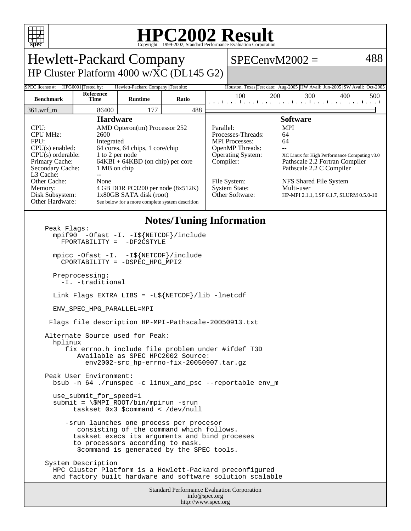

## **HPC2002 Result**

| <b>Hewlett-Packard Company</b>                                                                                                                                                                                        |                                                                                                                                                                                                                                                                                                                     |                |       |           |                                                                                                                                                                                                                                                                                                                                                                                                           | $SPECenvM2002 =$                                            | 488                                                                      |
|-----------------------------------------------------------------------------------------------------------------------------------------------------------------------------------------------------------------------|---------------------------------------------------------------------------------------------------------------------------------------------------------------------------------------------------------------------------------------------------------------------------------------------------------------------|----------------|-------|-----------|-----------------------------------------------------------------------------------------------------------------------------------------------------------------------------------------------------------------------------------------------------------------------------------------------------------------------------------------------------------------------------------------------------------|-------------------------------------------------------------|--------------------------------------------------------------------------|
| HP Cluster Platform 4000 w/XC (DL145 G2)                                                                                                                                                                              |                                                                                                                                                                                                                                                                                                                     |                |       |           |                                                                                                                                                                                                                                                                                                                                                                                                           |                                                             |                                                                          |
| HPG0001 Tested by:<br>Hewlett-Packard Company Test site:<br>SPEC license #:                                                                                                                                           |                                                                                                                                                                                                                                                                                                                     |                |       |           |                                                                                                                                                                                                                                                                                                                                                                                                           |                                                             | Houston, Texas Test date: Aug-2005 HW Avail: Jun-2005 SW Avail: Oct-2005 |
| <b>Benchmark</b>                                                                                                                                                                                                      | Reference<br>Time                                                                                                                                                                                                                                                                                                   | <b>Runtime</b> | Ratio |           | 100                                                                                                                                                                                                                                                                                                                                                                                                       | 200<br>300<br>المتما بتطاعينا بتطعيما بتطعيما بتماعينا ببار | 400<br>500                                                               |
| 361.wrf_m                                                                                                                                                                                                             | 86400                                                                                                                                                                                                                                                                                                               | 177            | 488   |           |                                                                                                                                                                                                                                                                                                                                                                                                           |                                                             |                                                                          |
| CPU:<br><b>CPU MHz:</b><br>FPU:<br>$CPU(s)$ enabled:<br>$CPU(s)$ orderable:<br>Primary Cache:<br>Secondary Cache:<br>L3 Cache:<br>Other Cache:<br>Memory:<br>Disk Subsystem:<br>Other Hardware:                       | <b>Hardware</b><br>AMD Opteron(tm) Processor 252<br>2600<br>Integrated<br>64 cores, 64 chips, 1 core/chip<br>1 to 2 per node<br>$64KBI + 64KBD$ (on chip) per core<br>1 MB on chip<br>÷÷<br>None<br>4 GB DDR PC3200 per node (8x512K)<br>1x80GB SATA disk (root)<br>See below for a more complete system descrition |                |       | Parallel: | <b>Software</b><br><b>MPI</b><br>Processes-Threads:<br>64<br><b>MPI</b> Processes:<br>64<br>OpenMP Threads:<br>Operating System:<br>XC Linux for High Performance Computing v3.0<br>Compiler:<br>Pathscale 2.2 Fortran Compiler<br>Pathscale 2.2 C Compiler<br>File System:<br>NFS Shared File System<br><b>System State:</b><br>Multi-user<br>Other Software:<br>HP-MPI 2.1.1, LSF 6.1.7, SLURM 0.5.0-10 |                                                             |                                                                          |
| <b>Notes/Tuning Information</b><br>Peak Flags:<br>mpif90 -Ofast -I. -I\${NETCDF}/include<br>-DF2CSTYLE<br>$FPORTABILITY =$<br>mpicc -Ofast -I. -I\${NETCDF}/include<br>CPORTABILITY = -DSPEC_HPG_MPI2                 |                                                                                                                                                                                                                                                                                                                     |                |       |           |                                                                                                                                                                                                                                                                                                                                                                                                           |                                                             |                                                                          |
| Preprocessing:<br>-I. -traditional                                                                                                                                                                                    |                                                                                                                                                                                                                                                                                                                     |                |       |           |                                                                                                                                                                                                                                                                                                                                                                                                           |                                                             |                                                                          |
| Link Flags EXTRA_LIBS = $-L\$ {NETCDF}/lib -lnetcdf                                                                                                                                                                   |                                                                                                                                                                                                                                                                                                                     |                |       |           |                                                                                                                                                                                                                                                                                                                                                                                                           |                                                             |                                                                          |
| ENV SPEC HPG PARALLEL=MPI                                                                                                                                                                                             |                                                                                                                                                                                                                                                                                                                     |                |       |           |                                                                                                                                                                                                                                                                                                                                                                                                           |                                                             |                                                                          |
| Flags file description HP-MPI-Pathscale-20050913.txt                                                                                                                                                                  |                                                                                                                                                                                                                                                                                                                     |                |       |           |                                                                                                                                                                                                                                                                                                                                                                                                           |                                                             |                                                                          |
| Alternate Source used for Peak:<br>hplinux<br>fix errno.h include file problem under #ifdef T3D<br>Available as SPEC HPC2002 Source:<br>env2002-src hp-errno-fix-20050907.tar.qz                                      |                                                                                                                                                                                                                                                                                                                     |                |       |           |                                                                                                                                                                                                                                                                                                                                                                                                           |                                                             |                                                                          |
| Peak User Environment:<br>bsub -n 64./runspec -c linux_amd_psc --reportable env_m                                                                                                                                     |                                                                                                                                                                                                                                                                                                                     |                |       |           |                                                                                                                                                                                                                                                                                                                                                                                                           |                                                             |                                                                          |
| use_submit_for_speed=1<br>$submit = \$MPI_ROOT/bin/mpirun -srun$<br>taskset $0x3$ \$command < /dev/null                                                                                                               |                                                                                                                                                                                                                                                                                                                     |                |       |           |                                                                                                                                                                                                                                                                                                                                                                                                           |                                                             |                                                                          |
| -srun launches one process per procesor<br>consisting of the command which follows.<br>taskset execs its arguments and bind proceses<br>to processors according to mask.<br>\$command is generated by the SPEC tools. |                                                                                                                                                                                                                                                                                                                     |                |       |           |                                                                                                                                                                                                                                                                                                                                                                                                           |                                                             |                                                                          |
| System Description<br>HPC Cluster Platform is a Hewlett-Packard preconfigured<br>and factory built hardware and software solution scalable                                                                            |                                                                                                                                                                                                                                                                                                                     |                |       |           |                                                                                                                                                                                                                                                                                                                                                                                                           |                                                             |                                                                          |
| Standard Performance Evaluation Corporation<br>info@spec.org                                                                                                                                                          |                                                                                                                                                                                                                                                                                                                     |                |       |           |                                                                                                                                                                                                                                                                                                                                                                                                           |                                                             |                                                                          |

http://www.spec.org